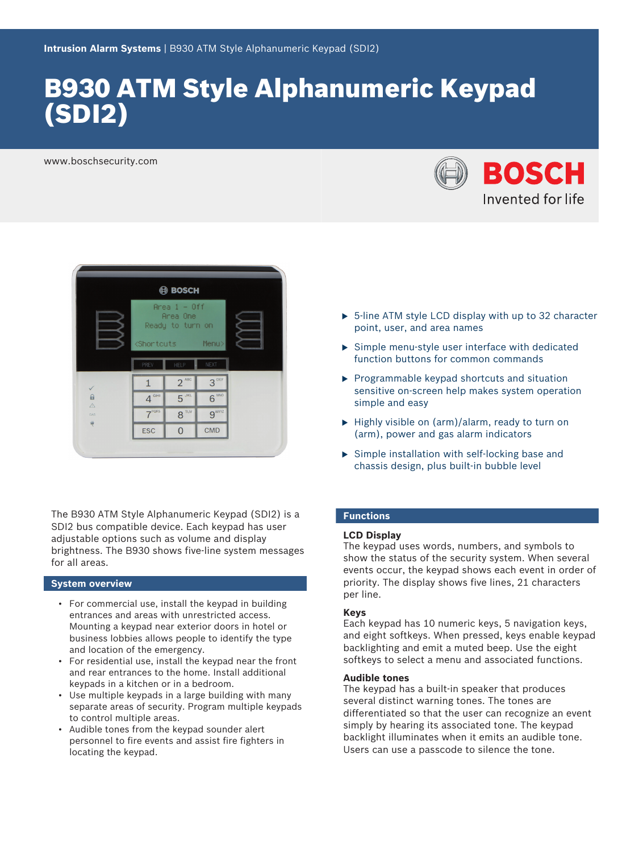# B930 ATM Style Alphanumeric Keypad (SDI2)

www.boschsecurity.com





The B930 ATM Style Alphanumeric Keypad (SDI2) is a SDI2 bus compatible device. Each keypad has user adjustable options such as volume and display brightness. The B930 shows five-line system messages for all areas.

### **System overview**

- For commercial use, install the keypad in building entrances and areas with unrestricted access. Mounting a keypad near exterior doors in hotel or business lobbies allows people to identify the type and location of the emergency.
- For residential use, install the keypad near the front and rear entrances to the home. Install additional keypads in a kitchen or in a bedroom.
- Use multiple keypads in a large building with many separate areas of security. Program multiple keypads to control multiple areas.
- Audible tones from the keypad sounder alert personnel to fire events and assist fire fighters in locating the keypad.
- $\triangleright$  5-line ATM style LCD display with up to 32 character point, user, and area names
- $\triangleright$  Simple menu-style user interface with dedicated function buttons for common commands
- $\blacktriangleright$  Programmable keypad shortcuts and situation sensitive on-screen help makes system operation simple and easy
- $\blacktriangleright$  Highly visible on (arm)/alarm, ready to turn on (arm), power and gas alarm indicators
- $\triangleright$  Simple installation with self-locking base and chassis design, plus built-in bubble level

### **Functions**

### **LCD Display**

The keypad uses words, numbers, and symbols to show the status of the security system. When several events occur, the keypad shows each event in order of priority. The display shows five lines, 21 characters per line.

### **Keys**

Each keypad has 10 numeric keys, 5 navigation keys, and eight softkeys. When pressed, keys enable keypad backlighting and emit a muted beep. Use the eight softkeys to select a menu and associated functions.

#### **Audible tones**

The keypad has a built-in speaker that produces several distinct warning tones. The tones are differentiated so that the user can recognize an event simply by hearing its associated tone. The keypad backlight illuminates when it emits an audible tone. Users can use a passcode to silence the tone.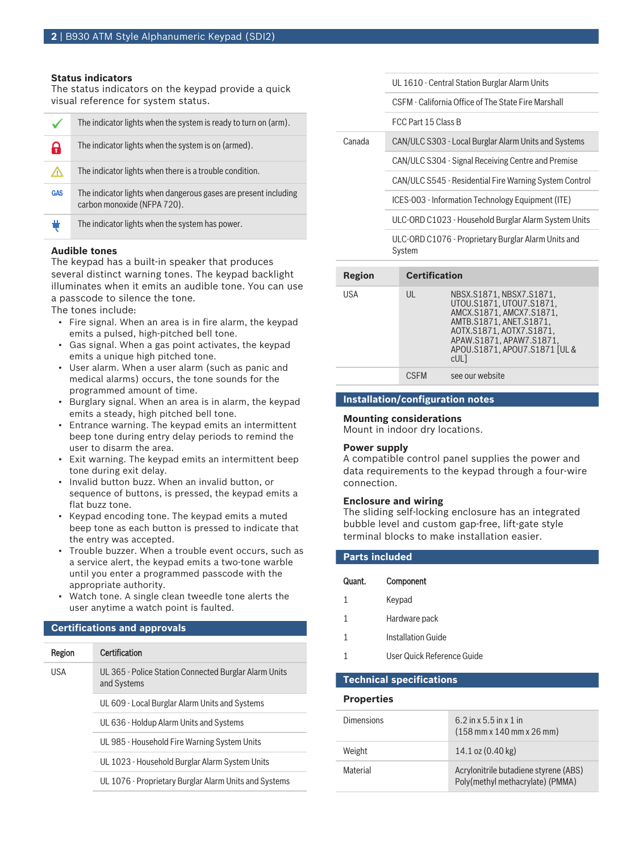#### **Status indicators**

The status indicators on the keypad provide a quick visual reference for system status.

|            | The indicator lights when the system is ready to turn on (arm).                                |
|------------|------------------------------------------------------------------------------------------------|
| A          | The indicator lights when the system is on (armed).                                            |
| ٢ĮŊ        | The indicator lights when there is a trouble condition.                                        |
| <b>GAS</b> | The indicator lights when dangerous gases are present including<br>carbon monoxide (NFPA 720). |
| ŧ          | The indicator lights when the system has power.                                                |

#### **Audible tones**

The keypad has a built-in speaker that produces several distinct warning tones. The keypad backlight illuminates when it emits an audible tone. You can use a passcode to silence the tone.

The tones include:

- Fire signal. When an area is in fire alarm, the keypad emits a pulsed, high-pitched bell tone.
- Gas signal. When a gas point activates, the keypad emits a unique high pitched tone.
- User alarm. When a user alarm (such as panic and medical alarms) occurs, the tone sounds for the programmed amount of time.
- Burglary signal. When an area is in alarm, the keypad emits a steady, high pitched bell tone.
- Entrance warning. The keypad emits an intermittent beep tone during entry delay periods to remind the user to disarm the area.
- Exit warning. The keypad emits an intermittent beep tone during exit delay.
- Invalid button buzz. When an invalid button, or sequence of buttons, is pressed, the keypad emits a flat buzz tone.
- Keypad encoding tone. The keypad emits a muted beep tone as each button is pressed to indicate that the entry was accepted.
- Trouble buzzer. When a trouble event occurs, such as a service alert, the keypad emits a two-tone warble until you enter a programmed passcode with the appropriate authority.
- Watch tone. A single clean tweedle tone alerts the user anytime a watch point is faulted.

#### **Certifications and approvals**

| Region     | Certification                                                        |
|------------|----------------------------------------------------------------------|
| <b>USA</b> | UL 365 - Police Station Connected Burglar Alarm Units<br>and Systems |
|            | UL 609 - Local Burglar Alarm Units and Systems                       |
|            | UL 636 - Holdup Alarm Units and Systems                              |
|            | UL 985 - Household Fire Warning System Units                         |
|            | UL 1023 - Household Burglar Alarm System Units                       |
|            | UL 1076 - Proprietary Burglar Alarm Units and Systems                |
|            |                                                                      |

|        | UL 1610 - Central Station Burglar Alarm Units                 |
|--------|---------------------------------------------------------------|
|        | CSEM - California Office of The State Fire Marshall           |
|        | FCC Part 15 Class B                                           |
| Canada | CAN/ULC S303 - Local Burglar Alarm Units and Systems          |
|        | CAN/ULC S304 - Signal Receiving Centre and Premise            |
|        | CAN/ULC S545 - Residential Fire Warning System Control        |
|        | ICES-003 - Information Technology Equipment (ITE)             |
|        | ULC-ORD C1023 - Household Burglar Alarm System Units          |
|        | ULC-ORD C1076 - Proprietary Burglar Alarm Units and<br>System |

| <b>Region</b> | <b>Certification</b> |                                                                                                                                                                                                                       |
|---------------|----------------------|-----------------------------------------------------------------------------------------------------------------------------------------------------------------------------------------------------------------------|
| USA           | UL                   | NBSX.S1871.NBSX7.S1871.<br>UTOU.S1871.UTOU7.S1871.<br>AMCX.S1871, AMCX7.S1871,<br>AMTB.S1871. ANET.S1871.<br>AOTX.S1871, AOTX7.S1871,<br>APAW.S1871.APAW7.S1871.<br>APOU.S1871, APOU7.S1871 [UL &<br>cUL <sub>1</sub> |
|               | <b>CSEM</b>          | see our website                                                                                                                                                                                                       |

#### **Installation/configuration notes**

#### **Mounting considerations**

Mount in indoor dry locations.

#### **Power supply**

A compatible control panel supplies the power and data requirements to the keypad through a four-wire connection.

#### **Enclosure and wiring**

The sliding self-locking enclosure has an integrated bubble level and custom gap-free, lift-gate style terminal blocks to make installation easier.

| <b>Parts included</b> |                            |  |
|-----------------------|----------------------------|--|
| Quant.                | Component                  |  |
| 1                     | Keypad                     |  |
| 1                     | Hardware pack              |  |
|                       | <b>Installation Guide</b>  |  |
|                       | User Quick Reference Guide |  |

#### **Technical specifications**

#### **Properties**

| <b>Dimensions</b> | 6.2 in x 5.5 in x 1 in<br>$(158 \text{ mm} \times 140 \text{ mm} \times 26 \text{ mm})$ |
|-------------------|-----------------------------------------------------------------------------------------|
| Weight            | 14.1 oz (0.40 kg)                                                                       |
| Material          | Acrylonitrile butadiene styrene (ABS)<br>Poly(methyl methacrylate) (PMMA)               |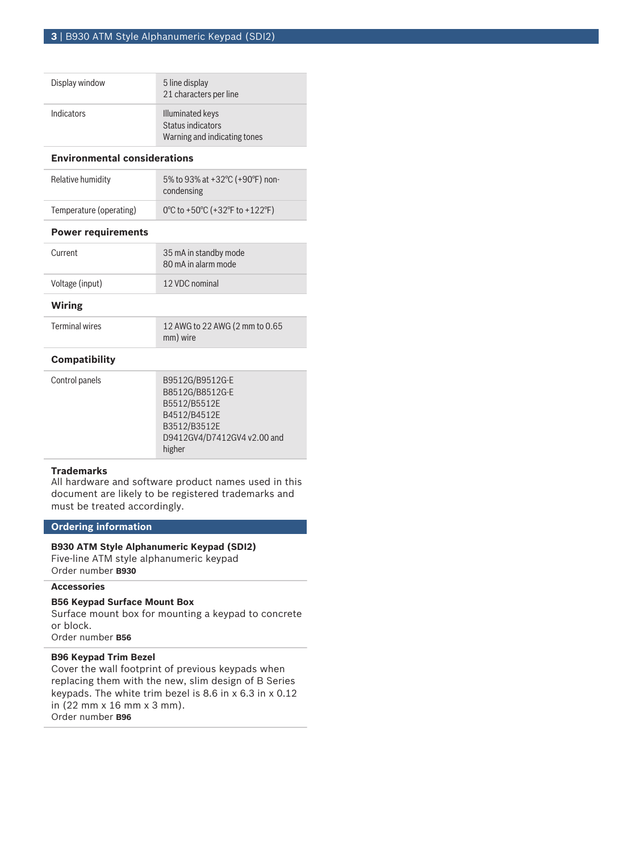| Display window    | 5 line display<br>21 characters per line                                     |
|-------------------|------------------------------------------------------------------------------|
| <b>Indicators</b> | <b>Illuminated keys</b><br>Status indicators<br>Warning and indicating tones |

#### **Environmental considerations**

| Relative humidity       | 5% to 93% at +32 °C (+90 °F) non-<br>condensing |
|-------------------------|-------------------------------------------------|
| Temperature (operating) | 0°C to +50°C (+32°F to +122°F)                  |

#### **Power requirements**

| Current         | 35 mA in standby mode<br>80 mA in alarm mode |
|-----------------|----------------------------------------------|
| Voltage (input) | 12 VDC nominal                               |

#### **Wiring**

Terminal wires 12 AWG to 22 AWG (2 mm to 0.65 mm) wire

#### **Compatibility**

| Control panels | B9512G/B9512G-E             |
|----------------|-----------------------------|
|                | B8512G/B8512G-E             |
|                | B5512/B5512E                |
|                | B4512/B4512E                |
|                | B3512/B3512E                |
|                | D9412GV4/D7412GV4 v2.00 and |
|                | higher                      |

### **Trademarks**

All hardware and software product names used in this document are likely to be registered trademarks and must be treated accordingly.

### **Ordering information**

#### **B930 ATM Style Alphanumeric Keypad (SDI2)**

Five-line ATM style alphanumeric keypad Order number **B930**

### **Accessories**

### **B56 Keypad Surface Mount Box**

Surface mount box for mounting a keypad to concrete or block. Order number **B56**

## **B96 Keypad Trim Bezel**

Cover the wall footprint of previous keypads when replacing them with the new, slim design of B Series keypads. The white trim bezel is 8.6 in x 6.3 in x 0.12 in (22 mm x 16 mm x 3 mm). Order number **B96**